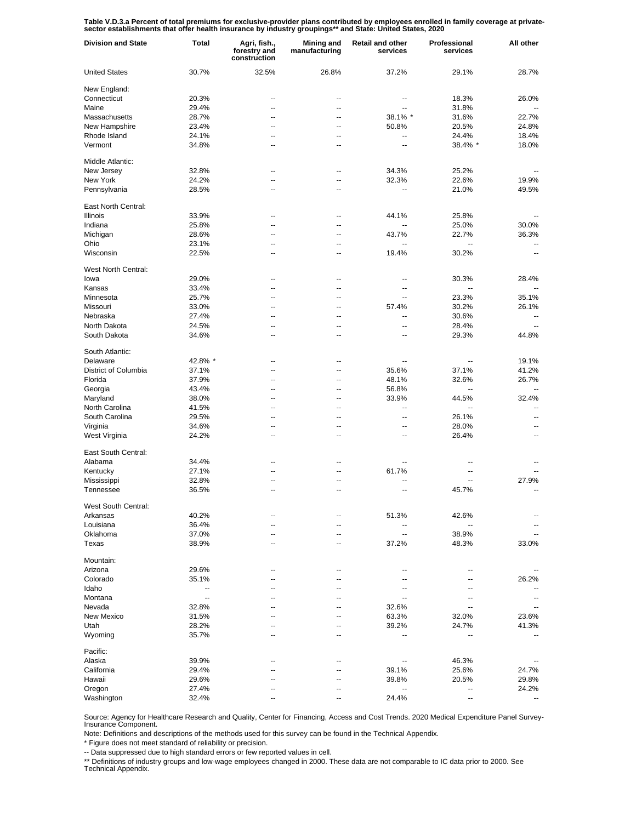Table V.D.3.a Percent of total premiums for exclusive-provider plans contributed by employees enrolled in family coverage at private-<br>sector establishments that offer health insurance by industry groupings\*\* and State: Uni

| <b>Division and State</b> | Total                    | Agri, fish.,<br>forestry and<br>construction | Mining and<br>manufacturing | <b>Retail and other</b><br>services | Professional<br>services | All other                |
|---------------------------|--------------------------|----------------------------------------------|-----------------------------|-------------------------------------|--------------------------|--------------------------|
| <b>United States</b>      | 30.7%                    | 32.5%                                        | 26.8%                       | 37.2%                               | 29.1%                    | 28.7%                    |
| New England:              |                          |                                              |                             |                                     |                          |                          |
| Connecticut               | 20.3%                    | --                                           |                             | ۰.                                  | 18.3%                    | 26.0%                    |
| Maine                     | 29.4%                    | --                                           | --                          | --                                  | 31.8%                    |                          |
| Massachusetts             | 28.7%                    | --                                           | --                          | 38.1% *                             | 31.6%                    | 22.7%                    |
| New Hampshire             | 23.4%                    | ٠.                                           | --                          | 50.8%                               | 20.5%                    | 24.8%                    |
| Rhode Island              | 24.1%                    | --                                           | --                          | --                                  | 24.4%                    | 18.4%                    |
| Vermont                   | 34.8%                    |                                              | --                          | --                                  | 38.4% *                  | 18.0%                    |
| Middle Atlantic:          |                          |                                              |                             |                                     |                          |                          |
| New Jersey                | 32.8%                    | --                                           | --                          | 34.3%                               | 25.2%                    |                          |
| New York                  | 24.2%                    | -−                                           | --                          | 32.3%                               | 22.6%                    | 19.9%                    |
| Pennsylvania              | 28.5%                    | --                                           | ⊷                           | $\overline{\phantom{a}}$            | 21.0%                    | 49.5%                    |
| East North Central:       |                          |                                              |                             |                                     |                          |                          |
| Illinois                  | 33.9%                    | Ξ.                                           | $\overline{a}$              | 44.1%                               | 25.8%                    |                          |
| Indiana                   | 25.8%                    | --                                           | $\overline{a}$              | $\overline{\phantom{a}}$            | 25.0%                    | 30.0%                    |
| Michigan                  | 28.6%                    | --                                           | $\overline{a}$              | 43.7%                               | 22.7%                    | 36.3%                    |
| Ohio                      | 23.1%                    | --                                           | $\overline{a}$              | $\ddotsc$                           | Ξ.                       | $\mathbf{u}$             |
| Wisconsin                 | 22.5%                    | --                                           | $\overline{a}$              | 19.4%                               | 30.2%                    | --                       |
| West North Central:       |                          |                                              |                             |                                     |                          |                          |
| lowa                      | 29.0%                    | --                                           |                             | --                                  | 30.3%                    | 28.4%                    |
| Kansas                    | 33.4%                    | ٠.                                           | --                          | ۰.                                  | --                       |                          |
| Minnesota                 | 25.7%                    | --                                           | --                          | --                                  | 23.3%                    | 35.1%                    |
| Missouri                  | 33.0%                    | ٠.                                           | --                          | 57.4%                               | 30.2%                    | 26.1%                    |
| Nebraska                  | 27.4%                    | --                                           | --                          | --                                  | 30.6%                    |                          |
| North Dakota              | 24.5%                    | --                                           | --                          | --                                  | 28.4%                    |                          |
| South Dakota              | 34.6%                    | --                                           | --                          | --                                  | 29.3%                    | 44.8%                    |
| South Atlantic:           |                          |                                              |                             |                                     |                          |                          |
| Delaware                  | 42.8% *                  | -−                                           | --                          | --                                  | $\overline{\phantom{a}}$ | 19.1%                    |
| District of Columbia      | 37.1%                    | --                                           | --                          | 35.6%                               | 37.1%                    | 41.2%                    |
| Florida                   | 37.9%                    | --                                           | --                          | 48.1%                               | 32.6%                    | 26.7%                    |
| Georgia                   | 43.4%                    | --                                           | --                          | 56.8%                               | $\overline{\phantom{a}}$ | $\sim$                   |
| Maryland                  | 38.0%                    | --                                           | --                          | 33.9%                               | 44.5%                    | 32.4%                    |
| North Carolina            | 41.5%                    | --                                           | --                          | $\overline{\phantom{a}}$            | --                       | --                       |
| South Carolina            | 29.5%                    | --                                           | --                          | $\overline{\phantom{a}}$            | 26.1%                    | --                       |
| Virginia                  | 34.6%                    | --                                           | ۰.                          | $\overline{\phantom{a}}$            | 28.0%                    | --                       |
| West Virginia             | 24.2%                    | -−                                           | --                          | $\overline{\phantom{a}}$            | 26.4%                    | --                       |
| East South Central:       |                          |                                              |                             |                                     |                          |                          |
| Alabama                   | 34.4%                    | --                                           | --                          | $\overline{\phantom{a}}$            | --                       |                          |
| Kentucky                  | 27.1%                    | --                                           | $\overline{a}$              | 61.7%                               | $\overline{\phantom{a}}$ |                          |
| Mississippi               | 32.8%                    | --                                           | --                          | $\overline{a}$                      | Ξ.                       | 27.9%                    |
| Tennessee                 | 36.5%                    | ц,                                           | $\overline{a}$              | $\overline{\phantom{a}}$            | 45.7%                    | $\mathbf{u}$             |
| West South Central:       |                          |                                              |                             |                                     |                          |                          |
| Arkansas                  | 40.2%                    |                                              |                             | 51.3%                               | 42.6%                    |                          |
| Louisiana                 | 36.4%                    |                                              |                             | --                                  |                          |                          |
| Oklahoma                  | 37.0%                    |                                              |                             | --                                  | 38.9%                    |                          |
| Texas                     | 38.9%                    |                                              |                             | 37.2%                               | 48.3%                    | 33.0%                    |
| Mountain:                 |                          |                                              |                             |                                     |                          |                          |
| Arizona                   | 29.6%                    | --                                           | --                          | --                                  | --                       |                          |
| Colorado                  | 35.1%                    | ٠.                                           | --                          |                                     | --                       | 26.2%                    |
| Idaho                     | $\overline{\phantom{a}}$ | ٠.                                           | --                          | --                                  | --                       |                          |
| Montana                   | $\overline{\phantom{a}}$ |                                              | --                          | $\overline{a}$                      | --                       | --                       |
| Nevada                    | 32.8%                    |                                              | -−                          | 32.6%                               | --                       | $\overline{\phantom{a}}$ |
| New Mexico                | 31.5%                    |                                              | --                          | 63.3%                               | 32.0%                    | 23.6%                    |
| Utah                      | 28.2%                    |                                              | --                          | 39.2%                               | 24.7%                    | 41.3%                    |
| Wyoming                   | 35.7%                    |                                              | --                          | --                                  | --                       | --                       |
| Pacific:                  |                          |                                              |                             |                                     |                          |                          |
| Alaska                    | 39.9%                    |                                              |                             | $\overline{\phantom{a}}$            | 46.3%                    |                          |
| California                | 29.4%                    |                                              |                             | 39.1%                               | 25.6%                    | 24.7%                    |
| Hawaii                    | 29.6%                    |                                              |                             | 39.8%                               | 20.5%                    | 29.8%                    |
| Oregon                    | 27.4%                    |                                              |                             | $\overline{\phantom{a}}$            | Ξ.                       | 24.2%                    |
| Washington                | 32.4%                    |                                              |                             | 24.4%                               |                          |                          |

Source: Agency for Healthcare Research and Quality, Center for Financing, Access and Cost Trends. 2020 Medical Expenditure Panel Survey-Insurance Component.

Note: Definitions and descriptions of the methods used for this survey can be found in the Technical Appendix.<br>\* Figure does not meet standard of reliability or precision.

\* Figure does not meet standard of reliability or precision.

-- Data suppressed due to high standard errors or few reported values in cell.

\*\* Definitions of industry groups and low-wage employees changed in 2000. These data are not comparable to IC data prior to 2000. See Technical Appendix.